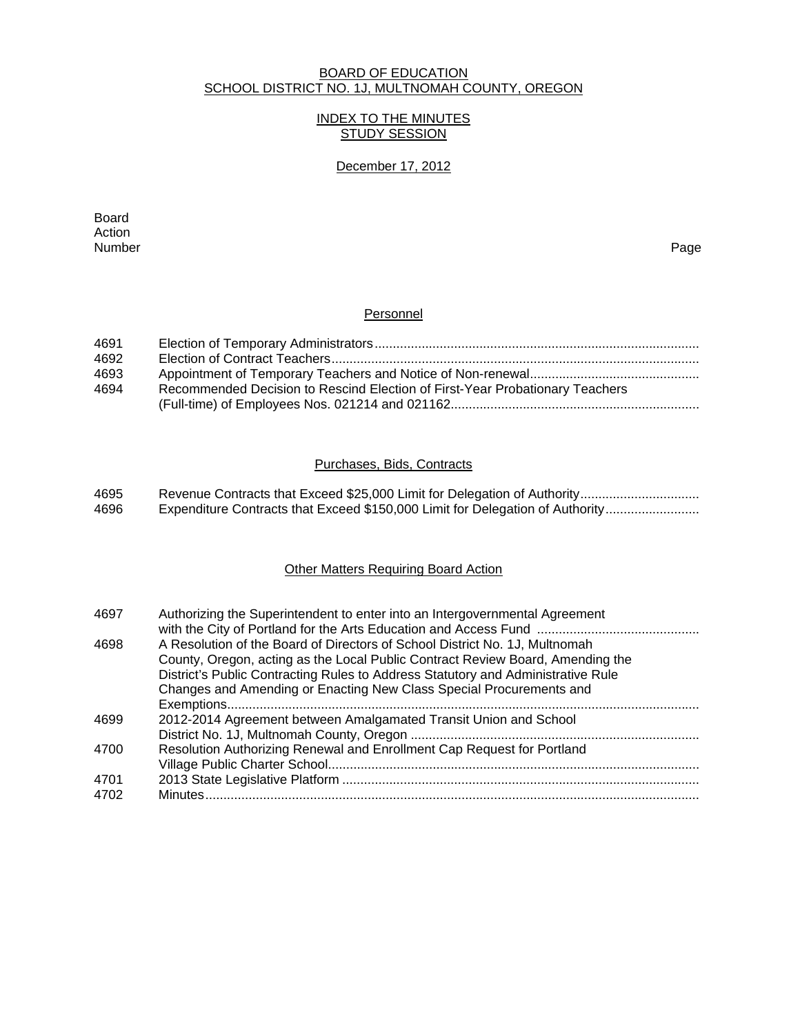#### BOARD OF EDUCATION SCHOOL DISTRICT NO. 1J, MULTNOMAH COUNTY, OREGON

### INDEX TO THE MINUTES STUDY SESSION

### December 17, 2012

extending the control of the control of the control of the control of the control of the control of the control of the control of the control of the control of the control of the control of the control of the control of th Action<br>Number Number Page

#### **Personnel**

| 4691 |                                                                              |
|------|------------------------------------------------------------------------------|
| 4692 |                                                                              |
| 4693 |                                                                              |
| 4694 | Recommended Decision to Rescind Election of First-Year Probationary Teachers |
|      |                                                                              |

### Purchases, Bids, Contracts

| 4695 |                                                                               |
|------|-------------------------------------------------------------------------------|
| 4696 | Expenditure Contracts that Exceed \$150,000 Limit for Delegation of Authority |

# **Other Matters Requiring Board Action**

| 4697 | Authorizing the Superintendent to enter into an Intergovernmental Agreement                                                                                   |
|------|---------------------------------------------------------------------------------------------------------------------------------------------------------------|
| 4698 | A Resolution of the Board of Directors of School District No. 1J, Multnomah<br>County, Oregon, acting as the Local Public Contract Review Board, Amending the |
|      | District's Public Contracting Rules to Address Statutory and Administrative Rule                                                                              |
|      | Changes and Amending or Enacting New Class Special Procurements and                                                                                           |
|      |                                                                                                                                                               |
| 4699 | 2012-2014 Agreement between Amalgamated Transit Union and School                                                                                              |
|      |                                                                                                                                                               |
| 4700 | Resolution Authorizing Renewal and Enrollment Cap Request for Portland                                                                                        |
|      |                                                                                                                                                               |
| 4701 |                                                                                                                                                               |
| 4702 |                                                                                                                                                               |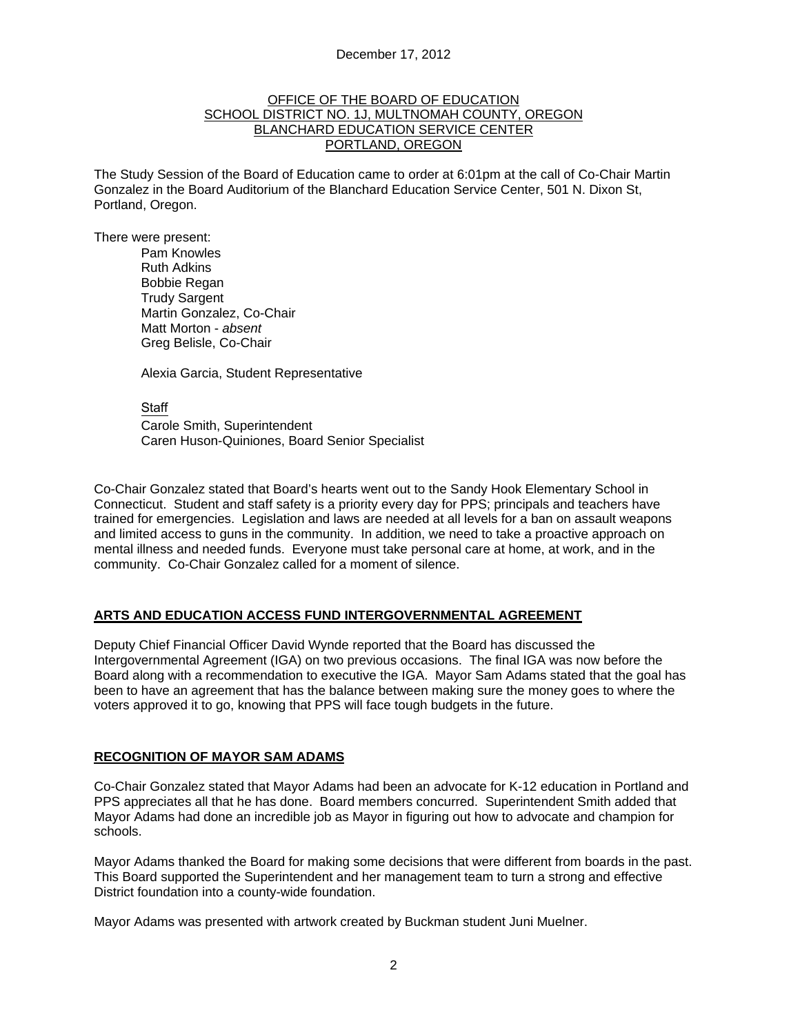#### OFFICE OF THE BOARD OF EDUCATION SCHOOL DISTRICT NO. 1J, MULTNOMAH COUNTY, OREGON BLANCHARD EDUCATION SERVICE CENTER PORTLAND, OREGON

The Study Session of the Board of Education came to order at 6:01pm at the call of Co-Chair Martin Gonzalez in the Board Auditorium of the Blanchard Education Service Center, 501 N. Dixon St, Portland, Oregon.

There were present: Pam Knowles

Ruth Adkins Bobbie Regan Trudy Sargent Martin Gonzalez, Co-Chair Matt Morton - *absent*  Greg Belisle, Co-Chair

Alexia Garcia, Student Representative

**Staff** 

 Carole Smith, Superintendent Caren Huson-Quiniones, Board Senior Specialist

Co-Chair Gonzalez stated that Board's hearts went out to the Sandy Hook Elementary School in Connecticut. Student and staff safety is a priority every day for PPS; principals and teachers have trained for emergencies. Legislation and laws are needed at all levels for a ban on assault weapons and limited access to guns in the community. In addition, we need to take a proactive approach on mental illness and needed funds. Everyone must take personal care at home, at work, and in the community. Co-Chair Gonzalez called for a moment of silence.

### **ARTS AND EDUCATION ACCESS FUND INTERGOVERNMENTAL AGREEMENT**

Deputy Chief Financial Officer David Wynde reported that the Board has discussed the Intergovernmental Agreement (IGA) on two previous occasions. The final IGA was now before the Board along with a recommendation to executive the IGA. Mayor Sam Adams stated that the goal has been to have an agreement that has the balance between making sure the money goes to where the voters approved it to go, knowing that PPS will face tough budgets in the future.

#### **RECOGNITION OF MAYOR SAM ADAMS**

Co-Chair Gonzalez stated that Mayor Adams had been an advocate for K-12 education in Portland and PPS appreciates all that he has done. Board members concurred. Superintendent Smith added that Mayor Adams had done an incredible job as Mayor in figuring out how to advocate and champion for schools.

Mayor Adams thanked the Board for making some decisions that were different from boards in the past. This Board supported the Superintendent and her management team to turn a strong and effective District foundation into a county-wide foundation.

Mayor Adams was presented with artwork created by Buckman student Juni Muelner.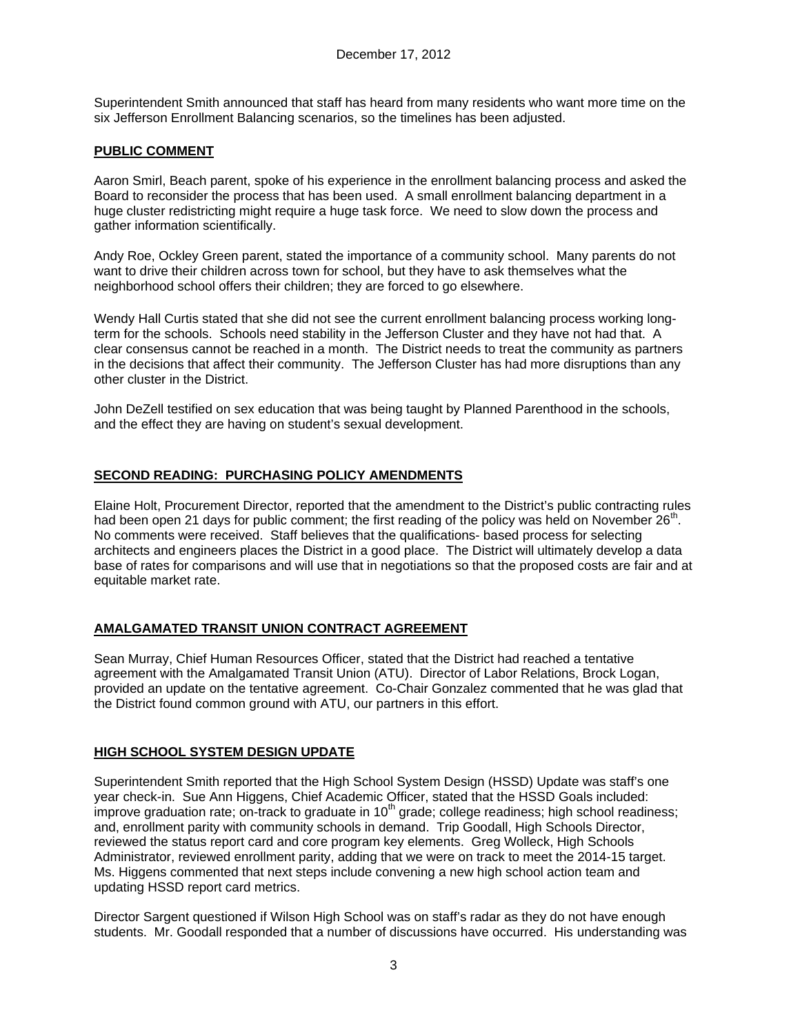Superintendent Smith announced that staff has heard from many residents who want more time on the six Jefferson Enrollment Balancing scenarios, so the timelines has been adjusted.

## **PUBLIC COMMENT**

Aaron Smirl, Beach parent, spoke of his experience in the enrollment balancing process and asked the Board to reconsider the process that has been used. A small enrollment balancing department in a huge cluster redistricting might require a huge task force. We need to slow down the process and gather information scientifically.

Andy Roe, Ockley Green parent, stated the importance of a community school. Many parents do not want to drive their children across town for school, but they have to ask themselves what the neighborhood school offers their children; they are forced to go elsewhere.

Wendy Hall Curtis stated that she did not see the current enrollment balancing process working longterm for the schools. Schools need stability in the Jefferson Cluster and they have not had that. A clear consensus cannot be reached in a month. The District needs to treat the community as partners in the decisions that affect their community. The Jefferson Cluster has had more disruptions than any other cluster in the District.

John DeZell testified on sex education that was being taught by Planned Parenthood in the schools, and the effect they are having on student's sexual development.

### **SECOND READING: PURCHASING POLICY AMENDMENTS**

Elaine Holt, Procurement Director, reported that the amendment to the District's public contracting rules had been open 21 days for public comment; the first reading of the policy was held on November 26<sup>th</sup>. No comments were received. Staff believes that the qualifications- based process for selecting architects and engineers places the District in a good place. The District will ultimately develop a data base of rates for comparisons and will use that in negotiations so that the proposed costs are fair and at equitable market rate.

### **AMALGAMATED TRANSIT UNION CONTRACT AGREEMENT**

Sean Murray, Chief Human Resources Officer, stated that the District had reached a tentative agreement with the Amalgamated Transit Union (ATU). Director of Labor Relations, Brock Logan, provided an update on the tentative agreement. Co-Chair Gonzalez commented that he was glad that the District found common ground with ATU, our partners in this effort.

### **HIGH SCHOOL SYSTEM DESIGN UPDATE**

Superintendent Smith reported that the High School System Design (HSSD) Update was staff's one year check-in. Sue Ann Higgens, Chief Academic Officer, stated that the HSSD Goals included: improve graduation rate; on-track to graduate in  $10<sup>th</sup>$  grade; college readiness; high school readiness; and, enrollment parity with community schools in demand. Trip Goodall, High Schools Director, reviewed the status report card and core program key elements. Greg Wolleck, High Schools Administrator, reviewed enrollment parity, adding that we were on track to meet the 2014-15 target. Ms. Higgens commented that next steps include convening a new high school action team and updating HSSD report card metrics.

Director Sargent questioned if Wilson High School was on staff's radar as they do not have enough students. Mr. Goodall responded that a number of discussions have occurred. His understanding was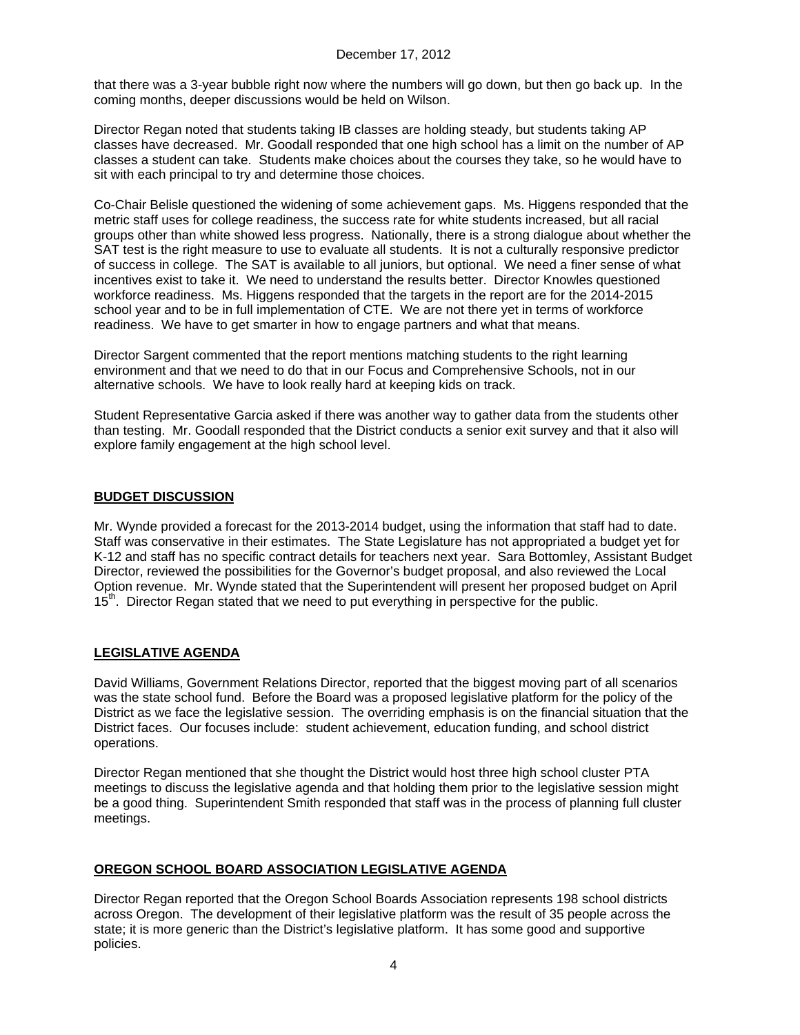that there was a 3-year bubble right now where the numbers will go down, but then go back up. In the coming months, deeper discussions would be held on Wilson.

Director Regan noted that students taking IB classes are holding steady, but students taking AP classes have decreased. Mr. Goodall responded that one high school has a limit on the number of AP classes a student can take. Students make choices about the courses they take, so he would have to sit with each principal to try and determine those choices.

Co-Chair Belisle questioned the widening of some achievement gaps. Ms. Higgens responded that the metric staff uses for college readiness, the success rate for white students increased, but all racial groups other than white showed less progress. Nationally, there is a strong dialogue about whether the SAT test is the right measure to use to evaluate all students. It is not a culturally responsive predictor of success in college. The SAT is available to all juniors, but optional. We need a finer sense of what incentives exist to take it. We need to understand the results better. Director Knowles questioned workforce readiness. Ms. Higgens responded that the targets in the report are for the 2014-2015 school year and to be in full implementation of CTE. We are not there yet in terms of workforce readiness. We have to get smarter in how to engage partners and what that means.

Director Sargent commented that the report mentions matching students to the right learning environment and that we need to do that in our Focus and Comprehensive Schools, not in our alternative schools. We have to look really hard at keeping kids on track.

Student Representative Garcia asked if there was another way to gather data from the students other than testing. Mr. Goodall responded that the District conducts a senior exit survey and that it also will explore family engagement at the high school level.

# **BUDGET DISCUSSION**

Mr. Wynde provided a forecast for the 2013-2014 budget, using the information that staff had to date. Staff was conservative in their estimates. The State Legislature has not appropriated a budget yet for K-12 and staff has no specific contract details for teachers next year. Sara Bottomley, Assistant Budget Director, reviewed the possibilities for the Governor's budget proposal, and also reviewed the Local Option revenue. Mr. Wynde stated that the Superintendent will present her proposed budget on April 15<sup>th</sup>. Director Regan stated that we need to put everything in perspective for the public.

# **LEGISLATIVE AGENDA**

David Williams, Government Relations Director, reported that the biggest moving part of all scenarios was the state school fund. Before the Board was a proposed legislative platform for the policy of the District as we face the legislative session. The overriding emphasis is on the financial situation that the District faces. Our focuses include: student achievement, education funding, and school district operations.

Director Regan mentioned that she thought the District would host three high school cluster PTA meetings to discuss the legislative agenda and that holding them prior to the legislative session might be a good thing. Superintendent Smith responded that staff was in the process of planning full cluster meetings.

### **OREGON SCHOOL BOARD ASSOCIATION LEGISLATIVE AGENDA**

Director Regan reported that the Oregon School Boards Association represents 198 school districts across Oregon. The development of their legislative platform was the result of 35 people across the state; it is more generic than the District's legislative platform. It has some good and supportive policies.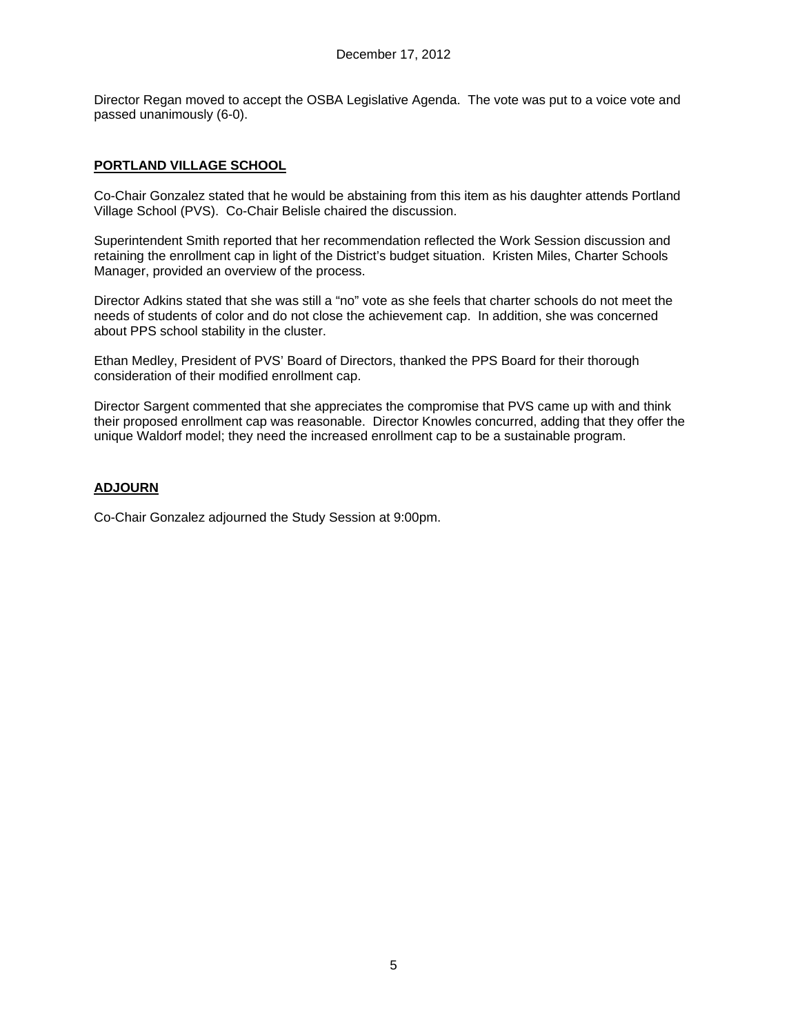Director Regan moved to accept the OSBA Legislative Agenda. The vote was put to a voice vote and passed unanimously (6-0).

## **PORTLAND VILLAGE SCHOOL**

Co-Chair Gonzalez stated that he would be abstaining from this item as his daughter attends Portland Village School (PVS). Co-Chair Belisle chaired the discussion.

Superintendent Smith reported that her recommendation reflected the Work Session discussion and retaining the enrollment cap in light of the District's budget situation. Kristen Miles, Charter Schools Manager, provided an overview of the process.

Director Adkins stated that she was still a "no" vote as she feels that charter schools do not meet the needs of students of color and do not close the achievement cap. In addition, she was concerned about PPS school stability in the cluster.

Ethan Medley, President of PVS' Board of Directors, thanked the PPS Board for their thorough consideration of their modified enrollment cap.

Director Sargent commented that she appreciates the compromise that PVS came up with and think their proposed enrollment cap was reasonable. Director Knowles concurred, adding that they offer the unique Waldorf model; they need the increased enrollment cap to be a sustainable program.

### **ADJOURN**

Co-Chair Gonzalez adjourned the Study Session at 9:00pm.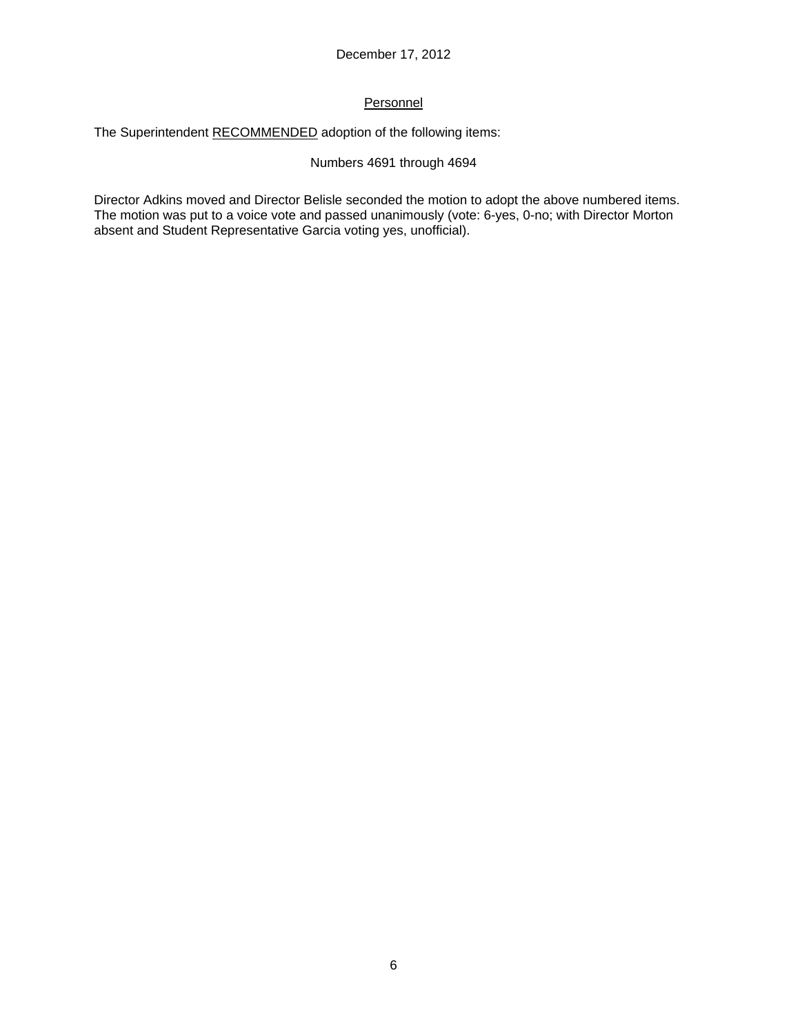# Personnel

The Superintendent RECOMMENDED adoption of the following items:

### Numbers 4691 through 4694

Director Adkins moved and Director Belisle seconded the motion to adopt the above numbered items. The motion was put to a voice vote and passed unanimously (vote: 6-yes, 0-no; with Director Morton absent and Student Representative Garcia voting yes, unofficial).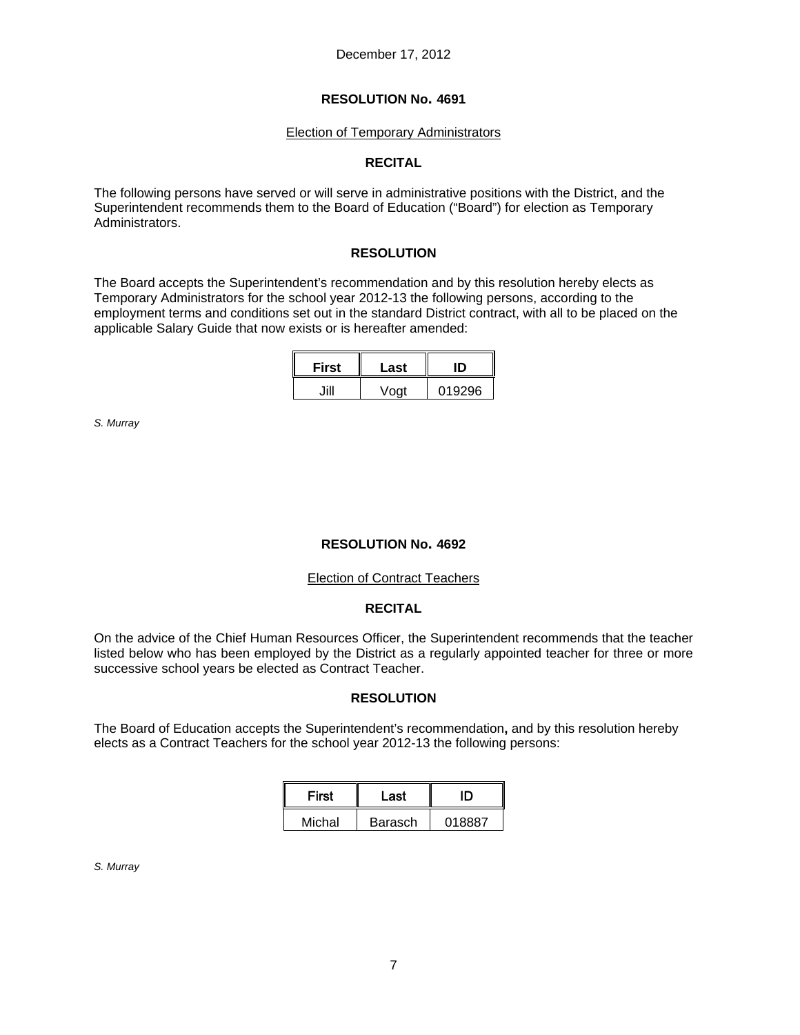#### Election of Temporary Administrators

### **RECITAL**

The following persons have served or will serve in administrative positions with the District, and the Superintendent recommends them to the Board of Education ("Board") for election as Temporary Administrators.

### **RESOLUTION**

The Board accepts the Superintendent's recommendation and by this resolution hereby elects as Temporary Administrators for the school year 2012-13 the following persons, according to the employment terms and conditions set out in the standard District contract, with all to be placed on the applicable Salary Guide that now exists or is hereafter amended:

i.

| First | Last | m      |  |
|-------|------|--------|--|
| HH    | Voat | 019296 |  |

*S. Murray* 

### **RESOLUTION No. 4692**

#### Election of Contract Teachers

### **RECITAL**

On the advice of the Chief Human Resources Officer, the Superintendent recommends that the teacher listed below who has been employed by the District as a regularly appointed teacher for three or more successive school years be elected as Contract Teacher.

#### **RESOLUTION**

The Board of Education accepts the Superintendent's recommendation**,** and by this resolution hereby elects as a Contract Teachers for the school year 2012-13 the following persons:

| First  | Last           |        |  |
|--------|----------------|--------|--|
| Michal | <b>Barasch</b> | 018887 |  |

#### *S. Murray*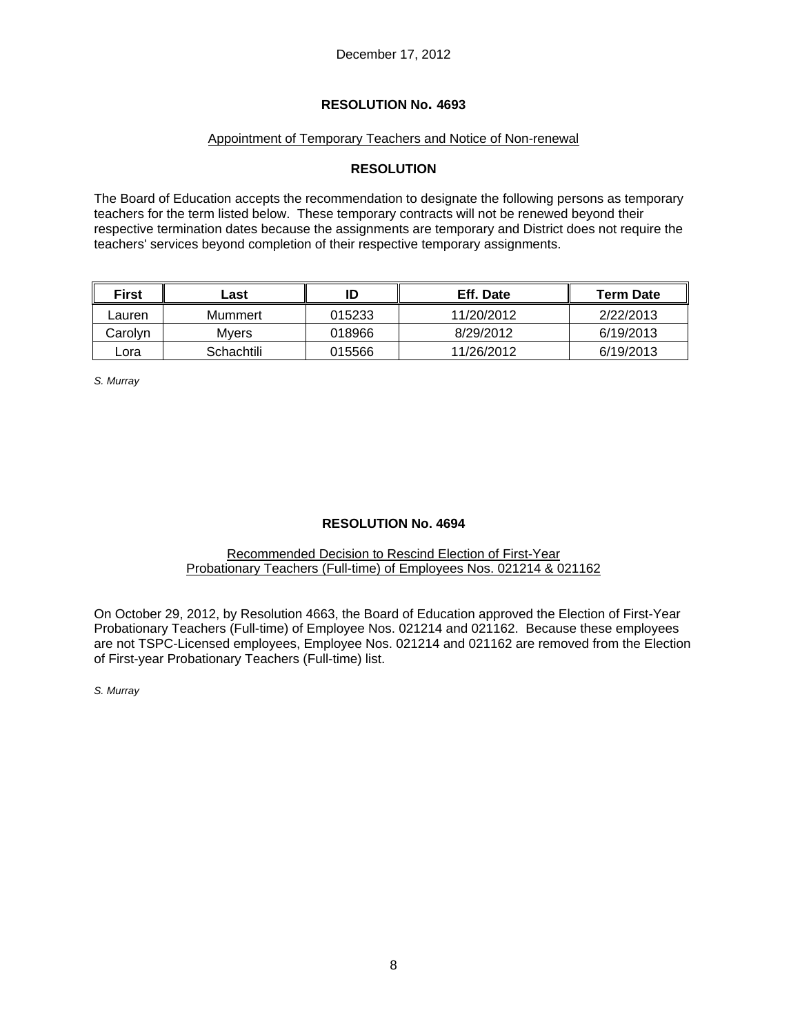### Appointment of Temporary Teachers and Notice of Non-renewal

### **RESOLUTION**

The Board of Education accepts the recommendation to designate the following persons as temporary teachers for the term listed below. These temporary contracts will not be renewed beyond their respective termination dates because the assignments are temporary and District does not require the teachers' services beyond completion of their respective temporary assignments.

| <b>First</b> | _ast       |        | Eff. Date  | <b>Term Date</b> |
|--------------|------------|--------|------------|------------------|
| Lauren       | Mummert    | 015233 | 11/20/2012 | 2/22/2013        |
| Carolvn      | Mvers      | 018966 | 8/29/2012  | 6/19/2013        |
| _ora         | Schachtili | 015566 | 11/26/2012 | 6/19/2013        |

*S. Murray* 

### **RESOLUTION No. 4694**

#### Recommended Decision to Rescind Election of First-Year Probationary Teachers (Full-time) of Employees Nos. 021214 & 021162

On October 29, 2012, by Resolution 4663, the Board of Education approved the Election of First-Year Probationary Teachers (Full-time) of Employee Nos. 021214 and 021162. Because these employees are not TSPC-Licensed employees, Employee Nos. 021214 and 021162 are removed from the Election of First-year Probationary Teachers (Full-time) list.

*S. Murray*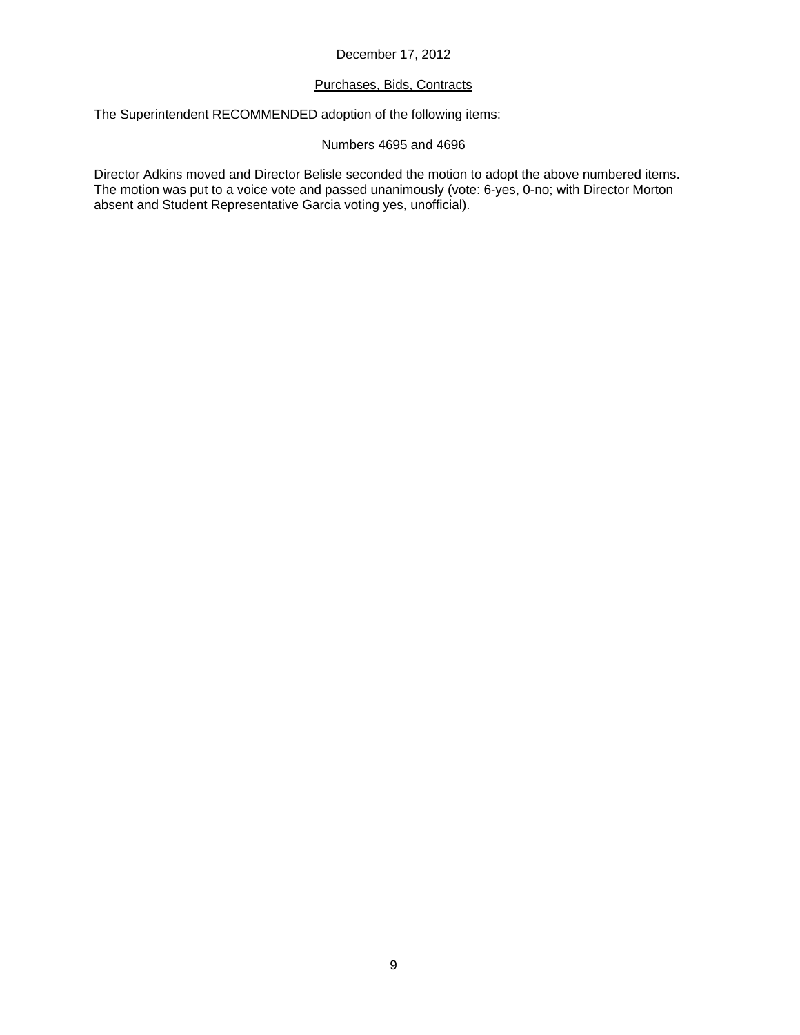### December 17, 2012

#### Purchases, Bids, Contracts

The Superintendent RECOMMENDED adoption of the following items:

### Numbers 4695 and 4696

Director Adkins moved and Director Belisle seconded the motion to adopt the above numbered items. The motion was put to a voice vote and passed unanimously (vote: 6-yes, 0-no; with Director Morton absent and Student Representative Garcia voting yes, unofficial).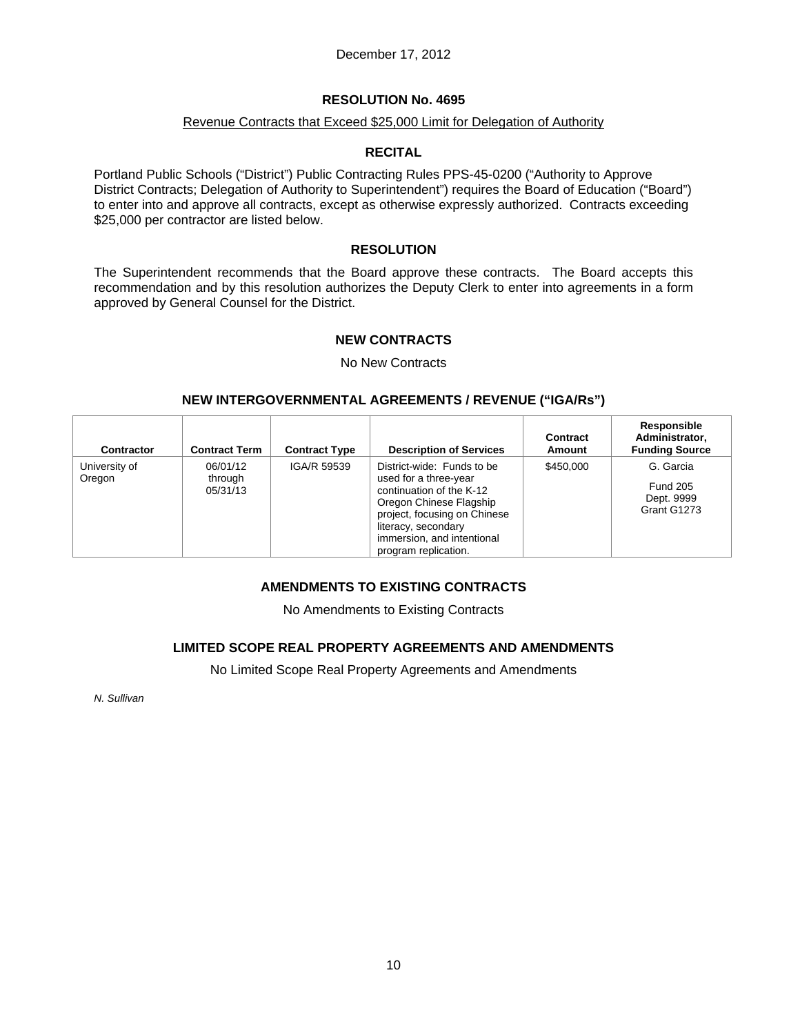### December 17, 2012

#### **RESOLUTION No. 4695**

#### Revenue Contracts that Exceed \$25,000 Limit for Delegation of Authority

### **RECITAL**

Portland Public Schools ("District") Public Contracting Rules PPS-45-0200 ("Authority to Approve District Contracts; Delegation of Authority to Superintendent") requires the Board of Education ("Board") to enter into and approve all contracts, except as otherwise expressly authorized. Contracts exceeding \$25,000 per contractor are listed below.

#### **RESOLUTION**

The Superintendent recommends that the Board approve these contracts. The Board accepts this recommendation and by this resolution authorizes the Deputy Clerk to enter into agreements in a form approved by General Counsel for the District.

### **NEW CONTRACTS**

#### No New Contracts

### **NEW INTERGOVERNMENTAL AGREEMENTS / REVENUE ("IGA/Rs")**

| Contractor              | <b>Contract Term</b>            | <b>Contract Type</b> | <b>Description of Services</b>                                                                                                                                                                                          | Contract<br>Amount | Responsible<br>Administrator,<br><b>Funding Source</b>    |
|-------------------------|---------------------------------|----------------------|-------------------------------------------------------------------------------------------------------------------------------------------------------------------------------------------------------------------------|--------------------|-----------------------------------------------------------|
| University of<br>Oregon | 06/01/12<br>through<br>05/31/13 | IGA/R 59539          | District-wide: Funds to be<br>used for a three-year<br>continuation of the K-12<br>Oregon Chinese Flagship<br>project, focusing on Chinese<br>literacy, secondary<br>immersion, and intentional<br>program replication. | \$450,000          | G. Garcia<br><b>Fund 205</b><br>Dept. 9999<br>Grant G1273 |

### **AMENDMENTS TO EXISTING CONTRACTS**

No Amendments to Existing Contracts

# **LIMITED SCOPE REAL PROPERTY AGREEMENTS AND AMENDMENTS**

No Limited Scope Real Property Agreements and Amendments

*N. Sullivan*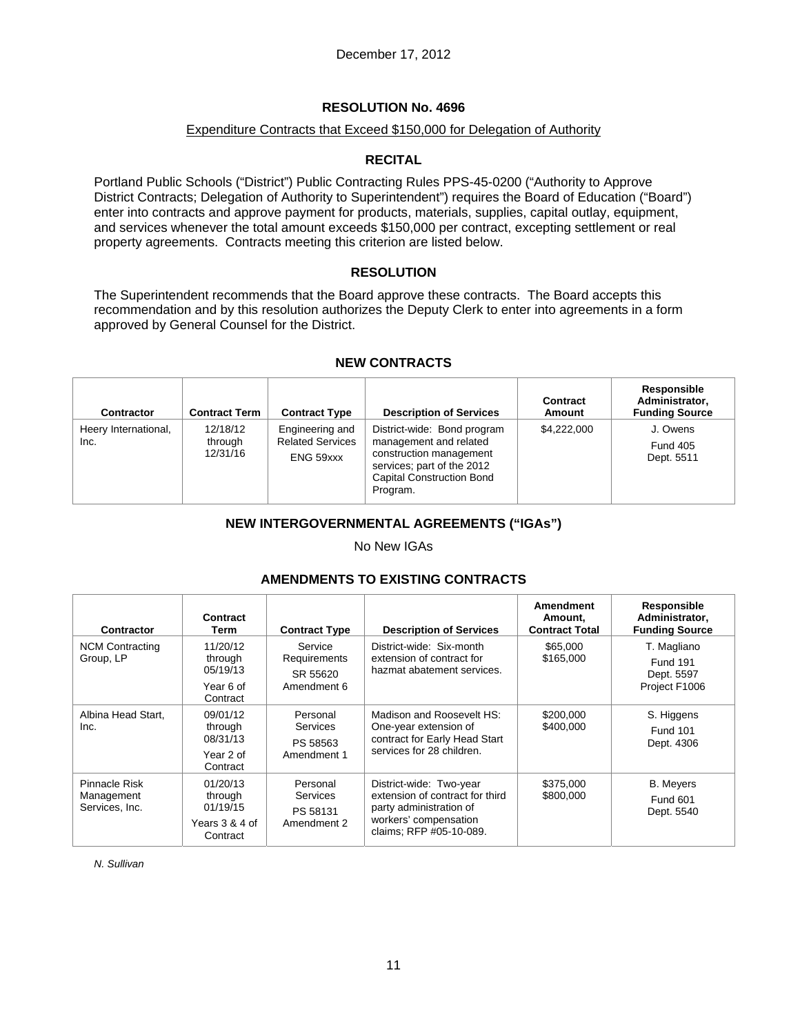### Expenditure Contracts that Exceed \$150,000 for Delegation of Authority

### **RECITAL**

Portland Public Schools ("District") Public Contracting Rules PPS-45-0200 ("Authority to Approve District Contracts; Delegation of Authority to Superintendent") requires the Board of Education ("Board") enter into contracts and approve payment for products, materials, supplies, capital outlay, equipment, and services whenever the total amount exceeds \$150,000 per contract, excepting settlement or real property agreements. Contracts meeting this criterion are listed below.

### **RESOLUTION**

The Superintendent recommends that the Board approve these contracts. The Board accepts this recommendation and by this resolution authorizes the Deputy Clerk to enter into agreements in a form approved by General Counsel for the District.

### **NEW CONTRACTS**

| Contractor                   | <b>Contract Term</b>            | <b>Contract Type</b>                                    | <b>Description of Services</b>                                                                                                                                 | <b>Contract</b><br>Amount | Responsible<br>Administrator.<br><b>Funding Source</b> |
|------------------------------|---------------------------------|---------------------------------------------------------|----------------------------------------------------------------------------------------------------------------------------------------------------------------|---------------------------|--------------------------------------------------------|
| Heery International,<br>Inc. | 12/18/12<br>through<br>12/31/16 | Engineering and<br><b>Related Services</b><br>ENG 59xxx | District-wide: Bond program<br>management and related<br>construction management<br>services; part of the 2012<br><b>Capital Construction Bond</b><br>Program. | \$4.222,000               | J. Owens<br><b>Fund 405</b><br>Dept. 5511              |

# **NEW INTERGOVERNMENTAL AGREEMENTS ("IGAs")**

#### No New IGAs

### **AMENDMENTS TO EXISTING CONTRACTS**

| Contractor                                    | Contract<br>Term                                              | <b>Contract Type</b>                               | <b>Description of Services</b>                                                                                                            | Amendment<br>Amount,<br><b>Contract Total</b> | Responsible<br>Administrator,<br><b>Funding Source</b>        |
|-----------------------------------------------|---------------------------------------------------------------|----------------------------------------------------|-------------------------------------------------------------------------------------------------------------------------------------------|-----------------------------------------------|---------------------------------------------------------------|
| <b>NCM Contracting</b><br>Group, LP           | 11/20/12<br>through<br>05/19/13<br>Year 6 of<br>Contract      | Service<br>Requirements<br>SR 55620<br>Amendment 6 | District-wide: Six-month<br>extension of contract for<br>hazmat abatement services.                                                       | \$65,000<br>\$165,000                         | T. Magliano<br><b>Fund 191</b><br>Dept. 5597<br>Project F1006 |
| Albina Head Start.<br>Inc.                    | 09/01/12<br>through<br>08/31/13<br>Year 2 of<br>Contract      | Personal<br>Services<br>PS 58563<br>Amendment 1    | Madison and Roosevelt HS:<br>One-year extension of<br>contract for Early Head Start<br>services for 28 children.                          | \$200,000<br>\$400,000                        | S. Higgens<br><b>Fund 101</b><br>Dept. 4306                   |
| Pinnacle Risk<br>Management<br>Services, Inc. | 01/20/13<br>through<br>01/19/15<br>Years 3 & 4 of<br>Contract | Personal<br>Services<br>PS 58131<br>Amendment 2    | District-wide: Two-year<br>extension of contract for third<br>party administration of<br>workers' compensation<br>claims; RFP #05-10-089. | \$375,000<br>\$800,000                        | <b>B.</b> Meyers<br><b>Fund 601</b><br>Dept. 5540             |

*N. Sullivan*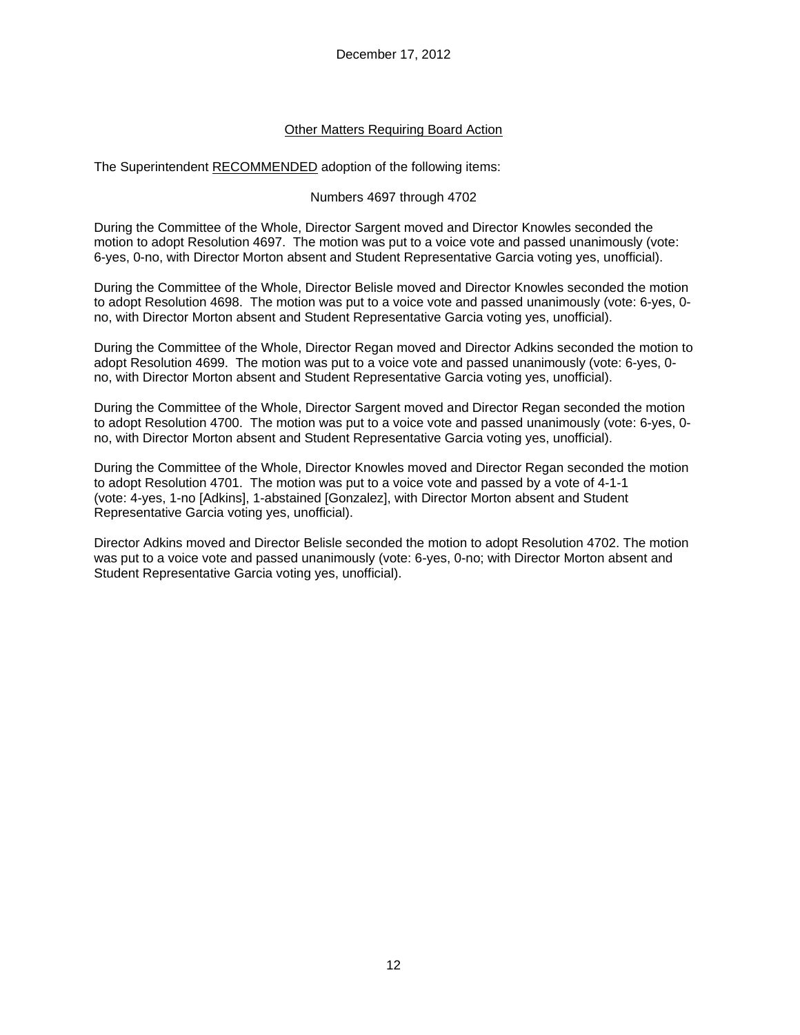### Other Matters Requiring Board Action

The Superintendent RECOMMENDED adoption of the following items:

### Numbers 4697 through 4702

During the Committee of the Whole, Director Sargent moved and Director Knowles seconded the motion to adopt Resolution 4697. The motion was put to a voice vote and passed unanimously (vote: 6-yes, 0-no, with Director Morton absent and Student Representative Garcia voting yes, unofficial).

During the Committee of the Whole, Director Belisle moved and Director Knowles seconded the motion to adopt Resolution 4698. The motion was put to a voice vote and passed unanimously (vote: 6-yes, 0 no, with Director Morton absent and Student Representative Garcia voting yes, unofficial).

During the Committee of the Whole, Director Regan moved and Director Adkins seconded the motion to adopt Resolution 4699. The motion was put to a voice vote and passed unanimously (vote: 6-yes, 0 no, with Director Morton absent and Student Representative Garcia voting yes, unofficial).

During the Committee of the Whole, Director Sargent moved and Director Regan seconded the motion to adopt Resolution 4700. The motion was put to a voice vote and passed unanimously (vote: 6-yes, 0 no, with Director Morton absent and Student Representative Garcia voting yes, unofficial).

During the Committee of the Whole, Director Knowles moved and Director Regan seconded the motion to adopt Resolution 4701. The motion was put to a voice vote and passed by a vote of 4-1-1 (vote: 4-yes, 1-no [Adkins], 1-abstained [Gonzalez], with Director Morton absent and Student Representative Garcia voting yes, unofficial).

Director Adkins moved and Director Belisle seconded the motion to adopt Resolution 4702. The motion was put to a voice vote and passed unanimously (vote: 6-yes, 0-no; with Director Morton absent and Student Representative Garcia voting yes, unofficial).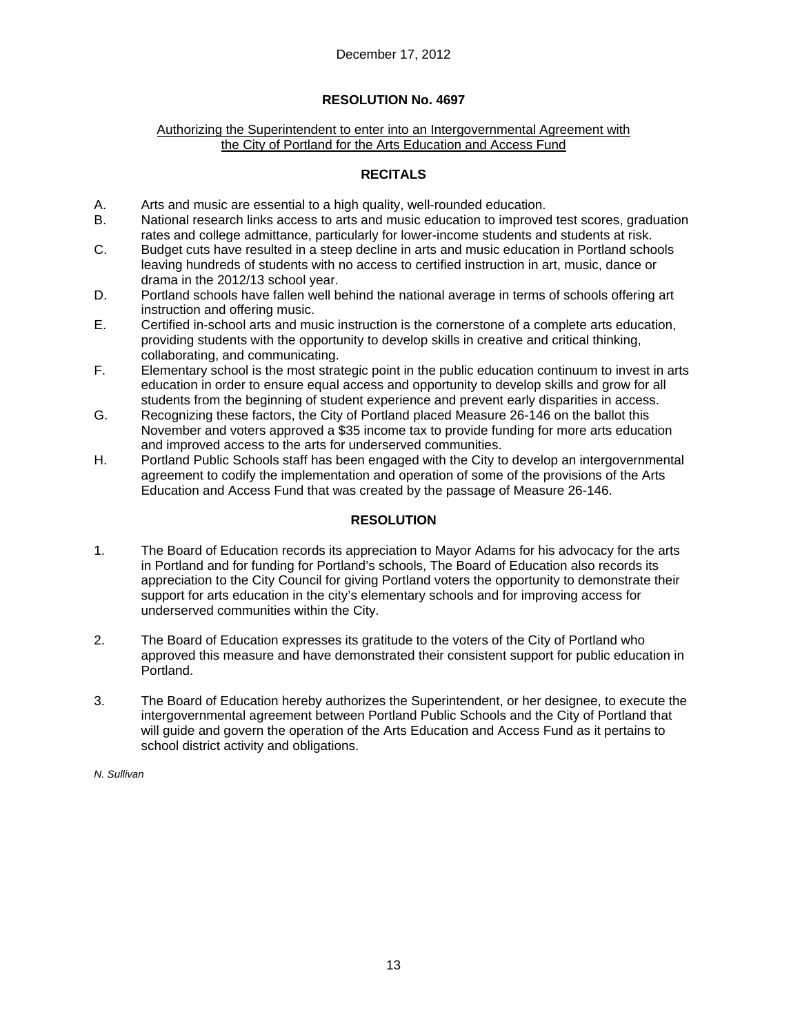#### Authorizing the Superintendent to enter into an Intergovernmental Agreement with the City of Portland for the Arts Education and Access Fund

# **RECITALS**

- A. Arts and music are essential to a high quality, well-rounded education.
- B. National research links access to arts and music education to improved test scores, graduation rates and college admittance, particularly for lower-income students and students at risk.
- C. Budget cuts have resulted in a steep decline in arts and music education in Portland schools leaving hundreds of students with no access to certified instruction in art, music, dance or drama in the 2012/13 school year.
- D. Portland schools have fallen well behind the national average in terms of schools offering art instruction and offering music.
- E. Certified in-school arts and music instruction is the cornerstone of a complete arts education, providing students with the opportunity to develop skills in creative and critical thinking, collaborating, and communicating.
- F. Elementary school is the most strategic point in the public education continuum to invest in arts education in order to ensure equal access and opportunity to develop skills and grow for all students from the beginning of student experience and prevent early disparities in access.
- G. Recognizing these factors, the City of Portland placed Measure 26-146 on the ballot this November and voters approved a \$35 income tax to provide funding for more arts education and improved access to the arts for underserved communities.
- H. Portland Public Schools staff has been engaged with the City to develop an intergovernmental agreement to codify the implementation and operation of some of the provisions of the Arts Education and Access Fund that was created by the passage of Measure 26-146.

### **RESOLUTION**

- 1. The Board of Education records its appreciation to Mayor Adams for his advocacy for the arts in Portland and for funding for Portland's schools, The Board of Education also records its appreciation to the City Council for giving Portland voters the opportunity to demonstrate their support for arts education in the city's elementary schools and for improving access for underserved communities within the City.
- 2. The Board of Education expresses its gratitude to the voters of the City of Portland who approved this measure and have demonstrated their consistent support for public education in Portland.
- 3. The Board of Education hereby authorizes the Superintendent, or her designee, to execute the intergovernmental agreement between Portland Public Schools and the City of Portland that will guide and govern the operation of the Arts Education and Access Fund as it pertains to school district activity and obligations.

*N. Sullivan*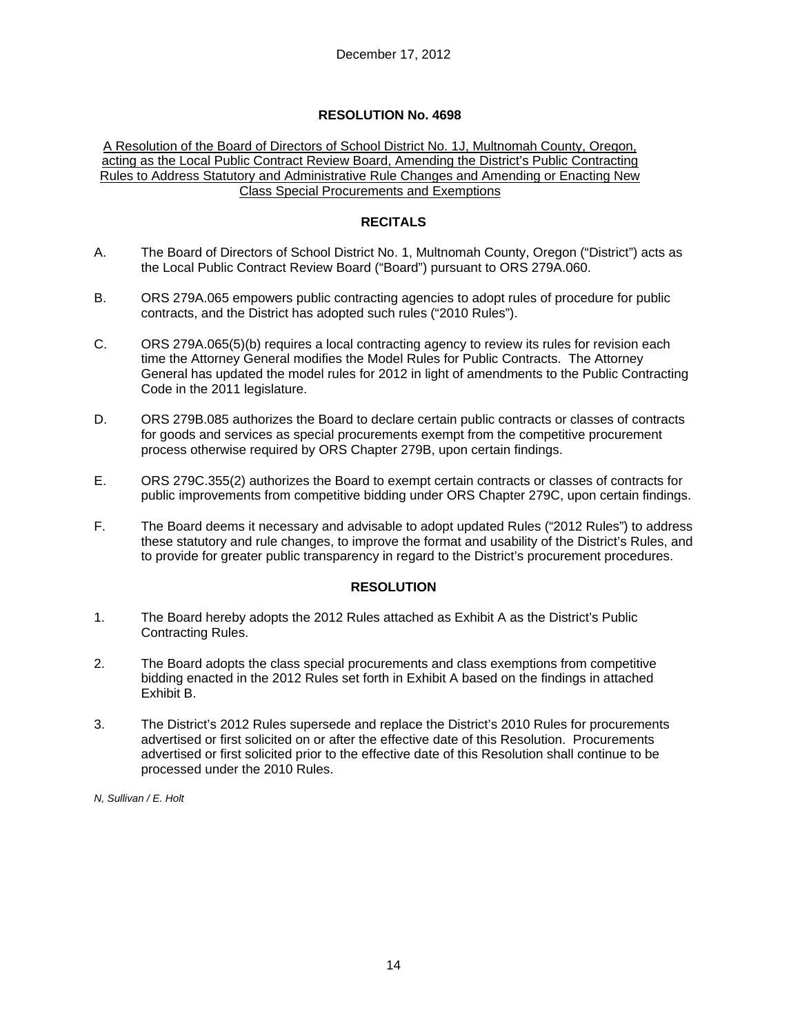A Resolution of the Board of Directors of School District No. 1J, Multnomah County, Oregon, acting as the Local Public Contract Review Board, Amending the District's Public Contracting Rules to Address Statutory and Administrative Rule Changes and Amending or Enacting New Class Special Procurements and Exemptions

## **RECITALS**

- A. The Board of Directors of School District No. 1, Multnomah County, Oregon ("District") acts as the Local Public Contract Review Board ("Board") pursuant to ORS 279A.060.
- B. ORS 279A.065 empowers public contracting agencies to adopt rules of procedure for public contracts, and the District has adopted such rules ("2010 Rules").
- C. ORS 279A.065(5)(b) requires a local contracting agency to review its rules for revision each time the Attorney General modifies the Model Rules for Public Contracts. The Attorney General has updated the model rules for 2012 in light of amendments to the Public Contracting Code in the 2011 legislature.
- D. ORS 279B.085 authorizes the Board to declare certain public contracts or classes of contracts for goods and services as special procurements exempt from the competitive procurement process otherwise required by ORS Chapter 279B, upon certain findings.
- E. ORS 279C.355(2) authorizes the Board to exempt certain contracts or classes of contracts for public improvements from competitive bidding under ORS Chapter 279C, upon certain findings.
- F. The Board deems it necessary and advisable to adopt updated Rules ("2012 Rules") to address these statutory and rule changes, to improve the format and usability of the District's Rules, and to provide for greater public transparency in regard to the District's procurement procedures.

### **RESOLUTION**

- 1. The Board hereby adopts the 2012 Rules attached as Exhibit A as the District's Public Contracting Rules.
- 2. The Board adopts the class special procurements and class exemptions from competitive bidding enacted in the 2012 Rules set forth in Exhibit A based on the findings in attached Exhibit B.
- 3. The District's 2012 Rules supersede and replace the District's 2010 Rules for procurements advertised or first solicited on or after the effective date of this Resolution. Procurements advertised or first solicited prior to the effective date of this Resolution shall continue to be processed under the 2010 Rules.

*N, Sullivan / E. Holt*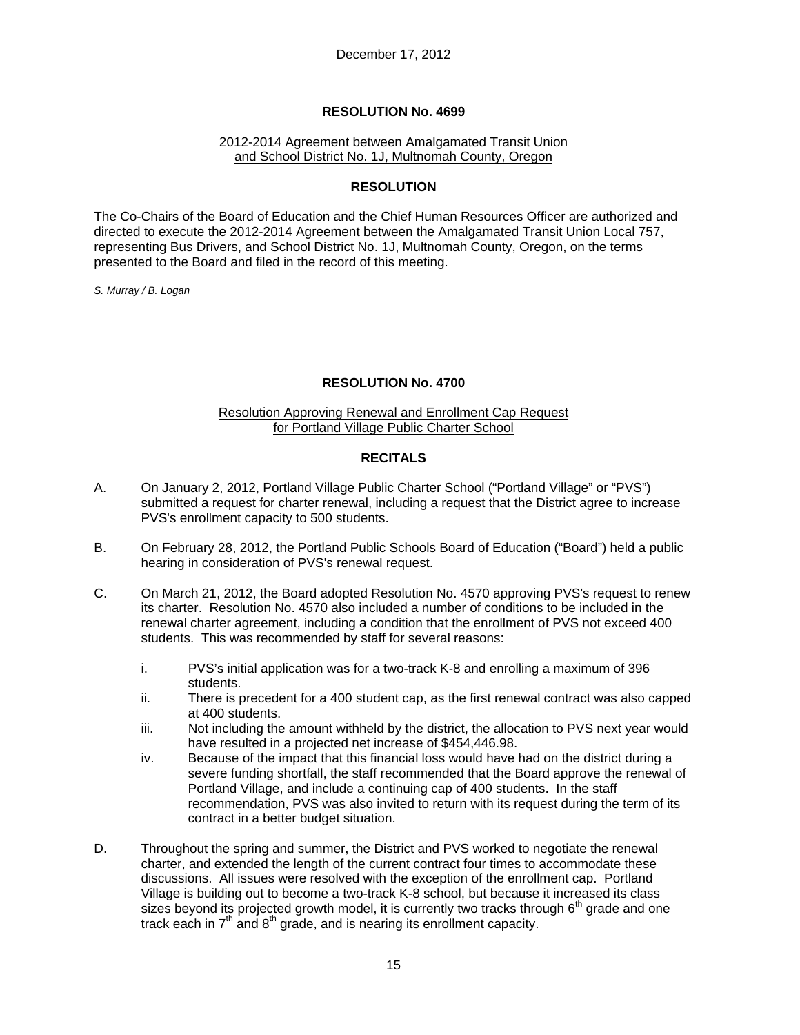#### 2012-2014 Agreement between Amalgamated Transit Union and School District No. 1J, Multnomah County, Oregon

### **RESOLUTION**

The Co-Chairs of the Board of Education and the Chief Human Resources Officer are authorized and directed to execute the 2012-2014 Agreement between the Amalgamated Transit Union Local 757, representing Bus Drivers, and School District No. 1J, Multnomah County, Oregon, on the terms presented to the Board and filed in the record of this meeting.

*S. Murray / B. Logan* 

### **RESOLUTION No. 4700**

#### Resolution Approving Renewal and Enrollment Cap Request for Portland Village Public Charter School

### **RECITALS**

- A. On January 2, 2012, Portland Village Public Charter School ("Portland Village" or "PVS") submitted a request for charter renewal, including a request that the District agree to increase PVS's enrollment capacity to 500 students.
- B. On February 28, 2012, the Portland Public Schools Board of Education ("Board") held a public hearing in consideration of PVS's renewal request.
- C. On March 21, 2012, the Board adopted Resolution No. 4570 approving PVS's request to renew its charter. Resolution No. 4570 also included a number of conditions to be included in the renewal charter agreement, including a condition that the enrollment of PVS not exceed 400 students. This was recommended by staff for several reasons:
	- i. PVS's initial application was for a two-track K-8 and enrolling a maximum of 396 students.
	- ii. There is precedent for a 400 student cap, as the first renewal contract was also capped at 400 students.
	- iii. Not including the amount withheld by the district, the allocation to PVS next year would have resulted in a projected net increase of \$454,446.98.
	- iv. Because of the impact that this financial loss would have had on the district during a severe funding shortfall, the staff recommended that the Board approve the renewal of Portland Village, and include a continuing cap of 400 students. In the staff recommendation, PVS was also invited to return with its request during the term of its contract in a better budget situation.
- D. Throughout the spring and summer, the District and PVS worked to negotiate the renewal charter, and extended the length of the current contract four times to accommodate these discussions. All issues were resolved with the exception of the enrollment cap. Portland Village is building out to become a two-track K-8 school, but because it increased its class sizes beyond its projected growth model, it is currently two tracks through  $6<sup>th</sup>$  grade and one track each in  $7<sup>th</sup>$  and  $8<sup>th</sup>$  grade, and is nearing its enrollment capacity.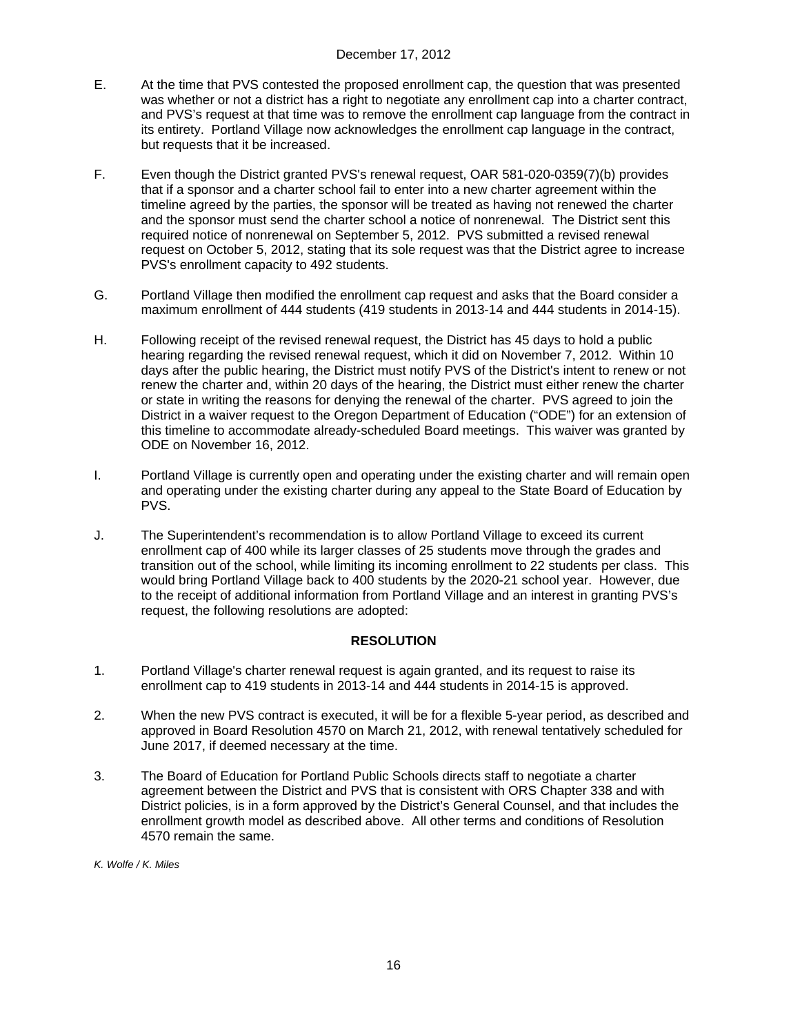- E. At the time that PVS contested the proposed enrollment cap, the question that was presented was whether or not a district has a right to negotiate any enrollment cap into a charter contract, and PVS's request at that time was to remove the enrollment cap language from the contract in its entirety. Portland Village now acknowledges the enrollment cap language in the contract, but requests that it be increased.
- F. Even though the District granted PVS's renewal request, OAR 581-020-0359(7)(b) provides that if a sponsor and a charter school fail to enter into a new charter agreement within the timeline agreed by the parties, the sponsor will be treated as having not renewed the charter and the sponsor must send the charter school a notice of nonrenewal. The District sent this required notice of nonrenewal on September 5, 2012. PVS submitted a revised renewal request on October 5, 2012, stating that its sole request was that the District agree to increase PVS's enrollment capacity to 492 students.
- G. Portland Village then modified the enrollment cap request and asks that the Board consider a maximum enrollment of 444 students (419 students in 2013-14 and 444 students in 2014-15).
- H. Following receipt of the revised renewal request, the District has 45 days to hold a public hearing regarding the revised renewal request, which it did on November 7, 2012. Within 10 days after the public hearing, the District must notify PVS of the District's intent to renew or not renew the charter and, within 20 days of the hearing, the District must either renew the charter or state in writing the reasons for denying the renewal of the charter. PVS agreed to join the District in a waiver request to the Oregon Department of Education ("ODE") for an extension of this timeline to accommodate already-scheduled Board meetings. This waiver was granted by ODE on November 16, 2012.
- I. Portland Village is currently open and operating under the existing charter and will remain open and operating under the existing charter during any appeal to the State Board of Education by PVS.
- J. The Superintendent's recommendation is to allow Portland Village to exceed its current enrollment cap of 400 while its larger classes of 25 students move through the grades and transition out of the school, while limiting its incoming enrollment to 22 students per class. This would bring Portland Village back to 400 students by the 2020-21 school year. However, due to the receipt of additional information from Portland Village and an interest in granting PVS's request, the following resolutions are adopted:

# **RESOLUTION**

- 1. Portland Village's charter renewal request is again granted, and its request to raise its enrollment cap to 419 students in 2013-14 and 444 students in 2014-15 is approved.
- 2. When the new PVS contract is executed, it will be for a flexible 5-year period, as described and approved in Board Resolution 4570 on March 21, 2012, with renewal tentatively scheduled for June 2017, if deemed necessary at the time.
- 3. The Board of Education for Portland Public Schools directs staff to negotiate a charter agreement between the District and PVS that is consistent with ORS Chapter 338 and with District policies, is in a form approved by the District's General Counsel, and that includes the enrollment growth model as described above. All other terms and conditions of Resolution 4570 remain the same.

*K. Wolfe / K. Miles*